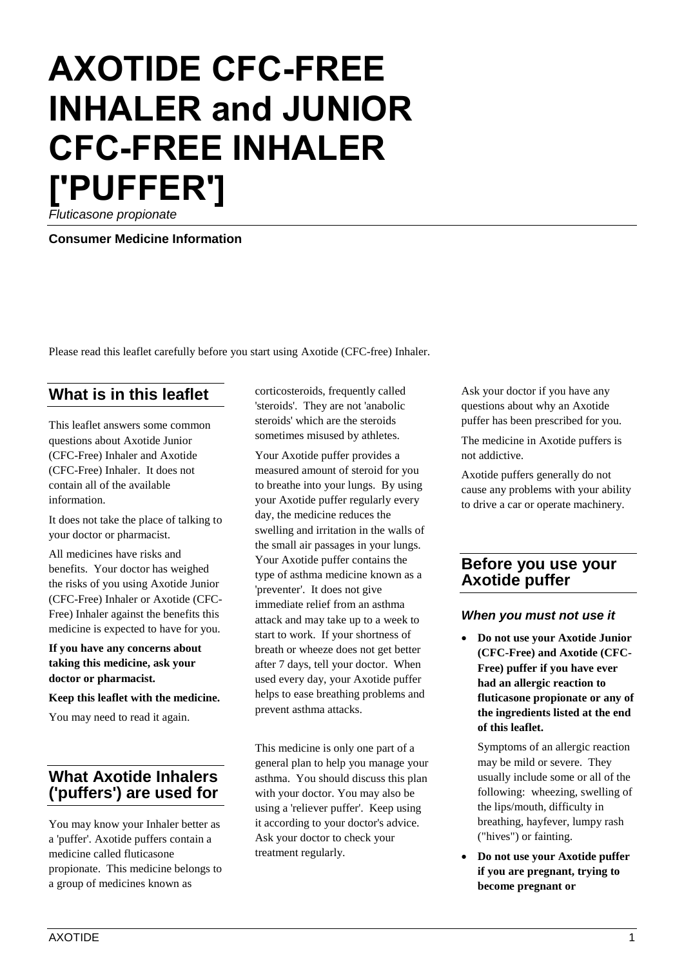# **AXOTIDE CFC-FREE INHALER and JUNIOR CFC-FREE INHALER ['PUFFER']**

*Fluticasone propionate*

**Consumer Medicine Information**

Please read this leaflet carefully before you start using Axotide (CFC-free) Inhaler.

# **What is in this leaflet**

This leaflet answers some common questions about Axotide Junior (CFC-Free) Inhaler and Axotide (CFC-Free) Inhaler. It does not contain all of the available information.

It does not take the place of talking to your doctor or pharmacist.

All medicines have risks and benefits. Your doctor has weighed the risks of you using Axotide Junior (CFC-Free) Inhaler or Axotide (CFC-Free) Inhaler against the benefits this medicine is expected to have for you.

#### **If you have any concerns about taking this medicine, ask your doctor or pharmacist.**

**Keep this leaflet with the medicine.**

You may need to read it again.

# **What Axotide Inhalers ('puffers') are used for**

You may know your Inhaler better as a 'puffer'. Axotide puffers contain a medicine called fluticasone propionate. This medicine belongs to a group of medicines known as

corticosteroids, frequently called 'steroids'. They are not 'anabolic steroids' which are the steroids sometimes misused by athletes.

Your Axotide puffer provides a measured amount of steroid for you to breathe into your lungs. By using your Axotide puffer regularly every day, the medicine reduces the swelling and irritation in the walls of the small air passages in your lungs. Your Axotide puffer contains the type of asthma medicine known as a 'preventer'. It does not give immediate relief from an asthma attack and may take up to a week to start to work. If your shortness of breath or wheeze does not get better after 7 days, tell your doctor. When used every day, your Axotide puffer helps to ease breathing problems and prevent asthma attacks.

This medicine is only one part of a general plan to help you manage your asthma. You should discuss this plan with your doctor. You may also be using a 'reliever puffer'. Keep using it according to your doctor's advice. Ask your doctor to check your treatment regularly.

Ask your doctor if you have any questions about why an Axotide puffer has been prescribed for you.

The medicine in Axotide puffers is not addictive.

Axotide puffers generally do not cause any problems with your ability to drive a car or operate machinery.

# **Before you use your Axotide puffer**

#### *When you must not use it*

• **Do not use your Axotide Junior (CFC-Free) and Axotide (CFC-Free) puffer if you have ever had an allergic reaction to fluticasone propionate or any of the ingredients listed at the end of this leaflet.**

Symptoms of an allergic reaction may be mild or severe. They usually include some or all of the following: wheezing, swelling of the lips/mouth, difficulty in breathing, hayfever, lumpy rash ("hives") or fainting.

• **Do not use your Axotide puffer if you are pregnant, trying to become pregnant or**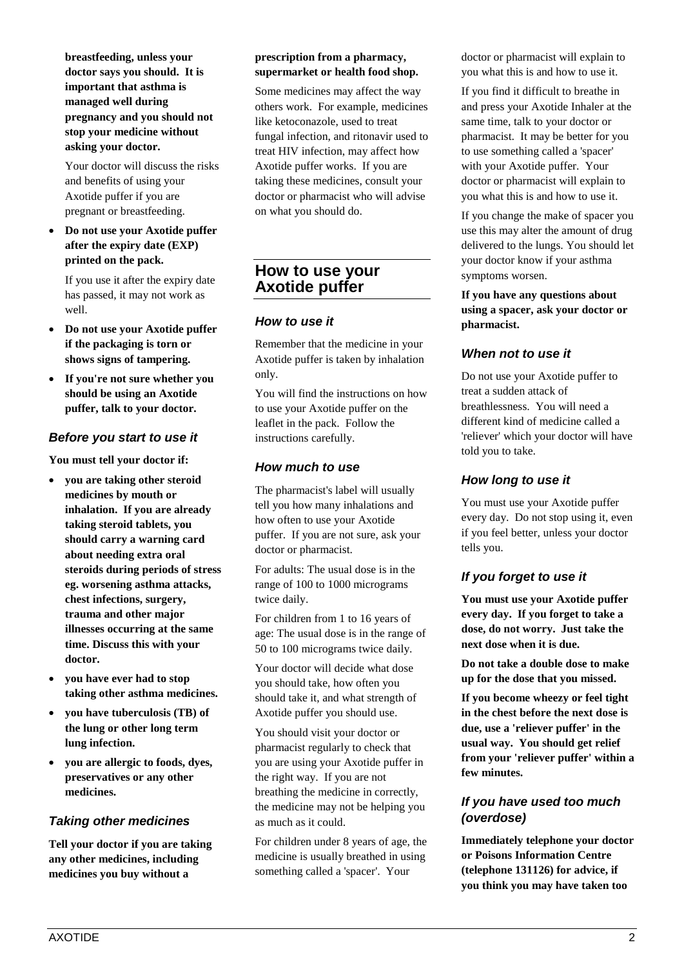**breastfeeding, unless your doctor says you should. It is important that asthma is managed well during pregnancy and you should not stop your medicine without asking your doctor.**

Your doctor will discuss the risks and benefits of using your Axotide puffer if you are pregnant or breastfeeding.

• **Do not use your Axotide puffer after the expiry date (EXP) printed on the pack.**

If you use it after the expiry date has passed, it may not work as well.

- **Do not use your Axotide puffer if the packaging is torn or shows signs of tampering.**
- **If you're not sure whether you should be using an Axotide puffer, talk to your doctor.**

#### *Before you start to use it*

**You must tell your doctor if:**

- **you are taking other steroid medicines by mouth or inhalation. If you are already taking steroid tablets, you should carry a warning card about needing extra oral steroids during periods of stress eg. worsening asthma attacks, chest infections, surgery, trauma and other major illnesses occurring at the same time. Discuss this with your doctor.**
- **you have ever had to stop taking other asthma medicines.**
- **you have tuberculosis (TB) of the lung or other long term lung infection.**
- **you are allergic to foods, dyes, preservatives or any other medicines.**

## *Taking other medicines*

**Tell your doctor if you are taking any other medicines, including medicines you buy without a** 

#### **prescription from a pharmacy, supermarket or health food shop.**

Some medicines may affect the way others work. For example, medicines like ketoconazole, used to treat fungal infection, and ritonavir used to treat HIV infection, may affect how Axotide puffer works. If you are taking these medicines, consult your doctor or pharmacist who will advise on what you should do.

# **How to use your Axotide puffer**

#### *How to use it*

Remember that the medicine in your Axotide puffer is taken by inhalation only.

You will find the instructions on how to use your Axotide puffer on the leaflet in the pack. Follow the instructions carefully.

#### *How much to use*

The pharmacist's label will usually tell you how many inhalations and how often to use your Axotide puffer. If you are not sure, ask your doctor or pharmacist.

For adults: The usual dose is in the range of 100 to 1000 micrograms twice daily.

For children from 1 to 16 years of age: The usual dose is in the range of 50 to 100 micrograms twice daily.

Your doctor will decide what dose you should take, how often you should take it, and what strength of Axotide puffer you should use.

You should visit your doctor or pharmacist regularly to check that you are using your Axotide puffer in the right way. If you are not breathing the medicine in correctly, the medicine may not be helping you as much as it could.

For children under 8 years of age, the medicine is usually breathed in using something called a 'spacer'. Your

doctor or pharmacist will explain to you what this is and how to use it.

If you find it difficult to breathe in and press your Axotide Inhaler at the same time, talk to your doctor or pharmacist. It may be better for you to use something called a 'spacer' with your Axotide puffer. Your doctor or pharmacist will explain to you what this is and how to use it.

If you change the make of spacer you use this may alter the amount of drug delivered to the lungs. You should let your doctor know if your asthma symptoms worsen.

**If you have any questions about using a spacer, ask your doctor or pharmacist.**

## *When not to use it*

Do not use your Axotide puffer to treat a sudden attack of breathlessness. You will need a different kind of medicine called a 'reliever' which your doctor will have told you to take.

#### *How long to use it*

You must use your Axotide puffer every day. Do not stop using it, even if you feel better, unless your doctor tells you.

# *If you forget to use it*

**You must use your Axotide puffer every day. If you forget to take a dose, do not worry. Just take the next dose when it is due.**

**Do not take a double dose to make up for the dose that you missed.**

**If you become wheezy or feel tight in the chest before the next dose is due, use a 'reliever puffer' in the usual way. You should get relief from your 'reliever puffer' within a few minutes.**

## *If you have used too much (overdose)*

**Immediately telephone your doctor or Poisons Information Centre (telephone 131126) for advice, if you think you may have taken too**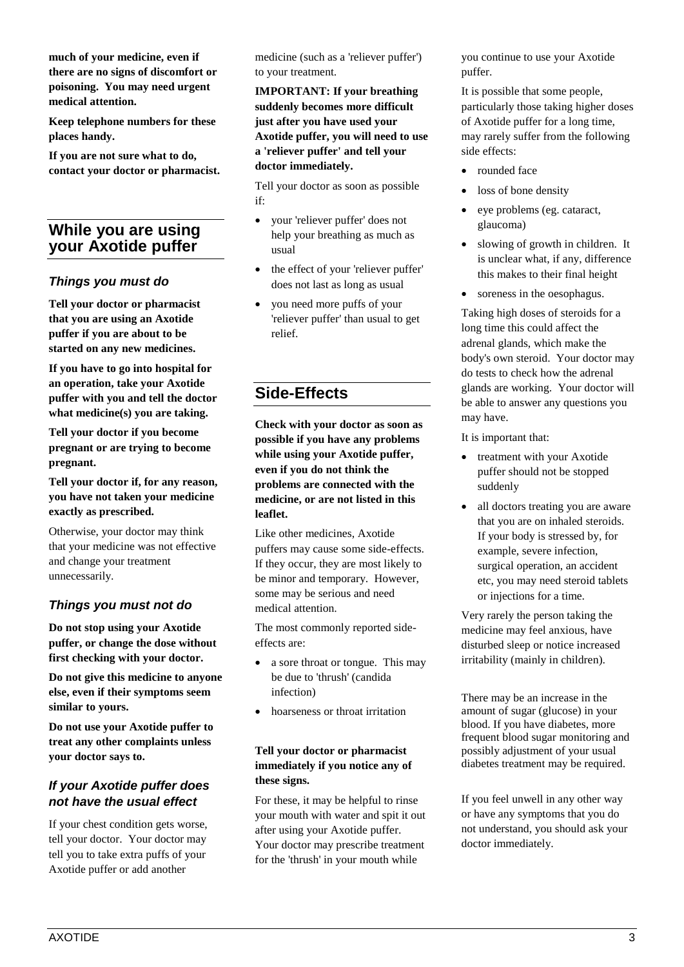**much of your medicine, even if there are no signs of discomfort or poisoning. You may need urgent medical attention.**

**Keep telephone numbers for these places handy.**

**If you are not sure what to do, contact your doctor or pharmacist.**

# **While you are using your Axotide puffer**

#### *Things you must do*

**Tell your doctor or pharmacist that you are using an Axotide puffer if you are about to be started on any new medicines.**

**If you have to go into hospital for an operation, take your Axotide puffer with you and tell the doctor what medicine(s) you are taking.**

**Tell your doctor if you become pregnant or are trying to become pregnant.**

**Tell your doctor if, for any reason, you have not taken your medicine exactly as prescribed.**

Otherwise, your doctor may think that your medicine was not effective and change your treatment unnecessarily.

## *Things you must not do*

**Do not stop using your Axotide puffer, or change the dose without first checking with your doctor.**

**Do not give this medicine to anyone else, even if their symptoms seem similar to yours.**

**Do not use your Axotide puffer to treat any other complaints unless your doctor says to.**

#### *If your Axotide puffer does not have the usual effect*

If your chest condition gets worse, tell your doctor. Your doctor may tell you to take extra puffs of your Axotide puffer or add another

medicine (such as a 'reliever puffer') to your treatment.

**IMPORTANT: If your breathing suddenly becomes more difficult just after you have used your Axotide puffer, you will need to use a 'reliever puffer' and tell your doctor immediately.**

Tell your doctor as soon as possible if:

- your 'reliever puffer' does not help your breathing as much as usual
- the effect of your 'reliever puffer' does not last as long as usual
- you need more puffs of your 'reliever puffer' than usual to get relief.

# **Side-Effects**

**Check with your doctor as soon as possible if you have any problems while using your Axotide puffer, even if you do not think the problems are connected with the medicine, or are not listed in this leaflet.**

Like other medicines, Axotide puffers may cause some side-effects. If they occur, they are most likely to be minor and temporary. However, some may be serious and need medical attention.

The most commonly reported sideeffects are:

- a sore throat or tongue. This may be due to 'thrush' (candida infection)
- hoarseness or throat irritation

#### **Tell your doctor or pharmacist immediately if you notice any of these signs.**

For these, it may be helpful to rinse your mouth with water and spit it out after using your Axotide puffer. Your doctor may prescribe treatment for the 'thrush' in your mouth while

you continue to use your Axotide puffer.

It is possible that some people, particularly those taking higher doses of Axotide puffer for a long time, may rarely suffer from the following side effects:

- rounded face
- loss of bone density
- eye problems (eg. cataract, glaucoma)
- slowing of growth in children. It is unclear what, if any, difference this makes to their final height
- soreness in the oesophagus.

Taking high doses of steroids for a long time this could affect the adrenal glands, which make the body's own steroid. Your doctor may do tests to check how the adrenal glands are working. Your doctor will be able to answer any questions you may have.

It is important that:

- treatment with your Axotide puffer should not be stopped suddenly
- all doctors treating you are aware that you are on inhaled steroids. If your body is stressed by, for example, severe infection, surgical operation, an accident etc, you may need steroid tablets or injections for a time.

Very rarely the person taking the medicine may feel anxious, have disturbed sleep or notice increased irritability (mainly in children).

There may be an increase in the amount of sugar (glucose) in your blood. If you have diabetes, more frequent blood sugar monitoring and possibly adjustment of your usual diabetes treatment may be required.

If you feel unwell in any other way or have any symptoms that you do not understand, you should ask your doctor immediately.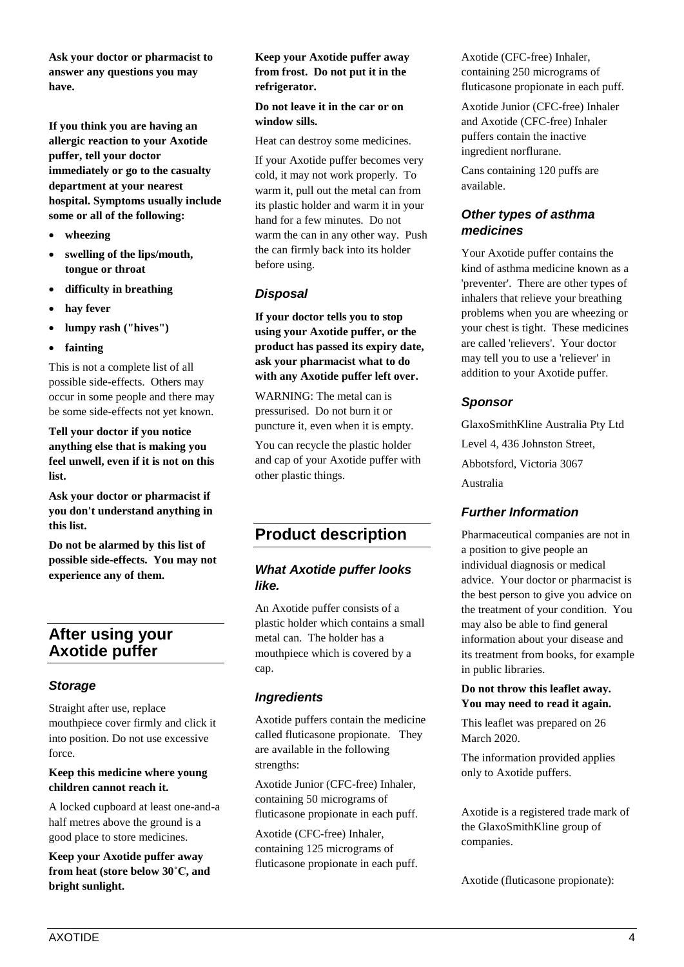**Ask your doctor or pharmacist to answer any questions you may have.**

**If you think you are having an allergic reaction to your Axotide puffer, tell your doctor immediately or go to the casualty department at your nearest hospital. Symptoms usually include some or all of the following:**

- **wheezing**
- **swelling of the lips/mouth, tongue or throat**
- **difficulty in breathing**
- hay fever
- **lumpy rash ("hives")**
- **fainting**

This is not a complete list of all possible side-effects. Others may occur in some people and there may be some side-effects not yet known.

**Tell your doctor if you notice anything else that is making you feel unwell, even if it is not on this list.**

**Ask your doctor or pharmacist if you don't understand anything in this list.**

**Do not be alarmed by this list of possible side-effects. You may not experience any of them.**

# **After using your Axotide puffer**

#### *Storage*

Straight after use, replace mouthpiece cover firmly and click it into position. Do not use excessive force.

**Keep this medicine where young children cannot reach it.**

A locked cupboard at least one-and-a half metres above the ground is a good place to store medicines.

**Keep your Axotide puffer away from heat (store below 30˚C, and bright sunlight.**

#### **Keep your Axotide puffer away from frost. Do not put it in the refrigerator.**

#### **Do not leave it in the car or on window sills.**

Heat can destroy some medicines.

If your Axotide puffer becomes very cold, it may not work properly. To warm it, pull out the metal can from its plastic holder and warm it in your hand for a few minutes. Do not warm the can in any other way. Push the can firmly back into its holder before using.

## *Disposal*

**If your doctor tells you to stop using your Axotide puffer, or the product has passed its expiry date, ask your pharmacist what to do with any Axotide puffer left over.**

WARNING: The metal can is pressurised. Do not burn it or puncture it, even when it is empty.

You can recycle the plastic holder and cap of your Axotide puffer with other plastic things.

# **Product description**

#### *What Axotide puffer looks like.*

An Axotide puffer consists of a plastic holder which contains a small metal can. The holder has a mouthpiece which is covered by a cap.

#### *Ingredients*

Axotide puffers contain the medicine called fluticasone propionate. They are available in the following strengths:

Axotide Junior (CFC-free) Inhaler, containing 50 micrograms of fluticasone propionate in each puff.

Axotide (CFC-free) Inhaler, containing 125 micrograms of fluticasone propionate in each puff. Axotide (CFC-free) Inhaler, containing 250 micrograms of fluticasone propionate in each puff.

Axotide Junior (CFC-free) Inhaler and Axotide (CFC-free) Inhaler puffers contain the inactive ingredient norflurane.

Cans containing 120 puffs are available.

## *Other types of asthma medicines*

Your Axotide puffer contains the kind of asthma medicine known as a 'preventer'. There are other types of inhalers that relieve your breathing problems when you are wheezing or your chest is tight. These medicines are called 'relievers'. Your doctor may tell you to use a 'reliever' in addition to your Axotide puffer.

## *Sponsor*

GlaxoSmithKline Australia Pty Ltd Level 4, 436 Johnston Street, Abbotsford, Victoria 3067 Australia

## *Further Information*

Pharmaceutical companies are not in a position to give people an individual diagnosis or medical advice. Your doctor or pharmacist is the best person to give you advice on the treatment of your condition. You may also be able to find general information about your disease and its treatment from books, for example in public libraries.

#### **Do not throw this leaflet away. You may need to read it again.**

This leaflet was prepared on 26 March 2020.

The information provided applies only to Axotide puffers.

Axotide is a registered trade mark of the GlaxoSmithKline group of companies.

Axotide (fluticasone propionate):